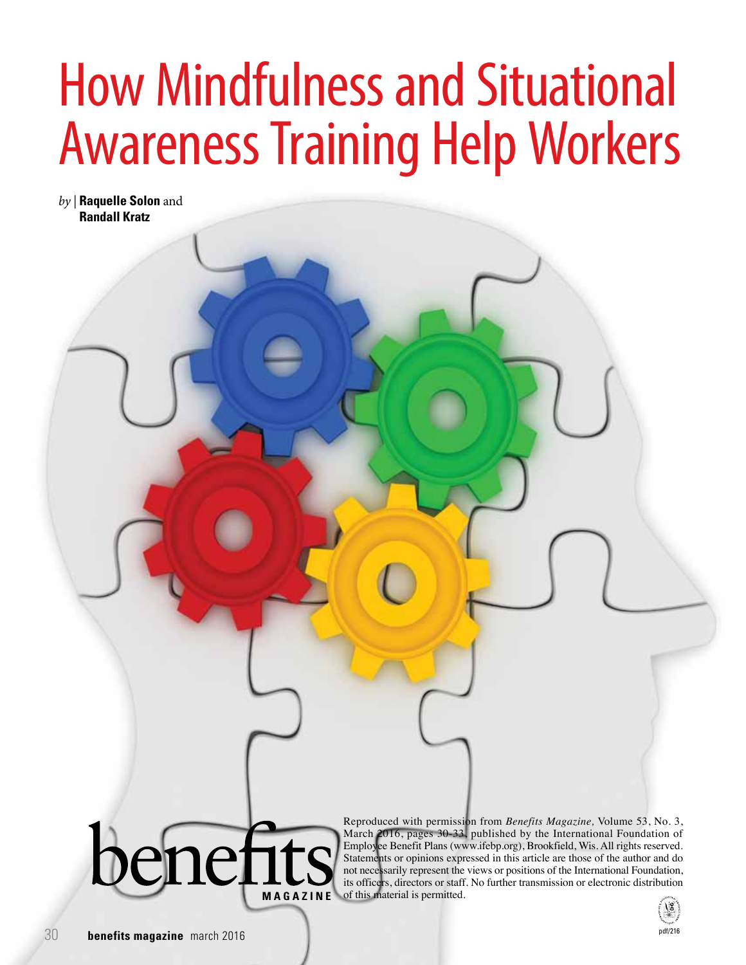# How Mindfulness and Situational Awareness Training Help Workers

*by |* **Raquelle Solon** and **Randall Kratz**



Reproduced with permission from *Benefits Magazine,* Volume 53, No. 3, March 2016, pages 30-33, published by the International Foundation of Employee Benefit Plans (www.ifebp.org), Brookfield, Wis. All rights reserved. Statements or opinions expressed in this article are those of the author and do not necessarily represent the views or positions of the International Foundation, its officers, directors or staff. No further transmission or electronic distribution **MAGAZINE** of this material is permitted.

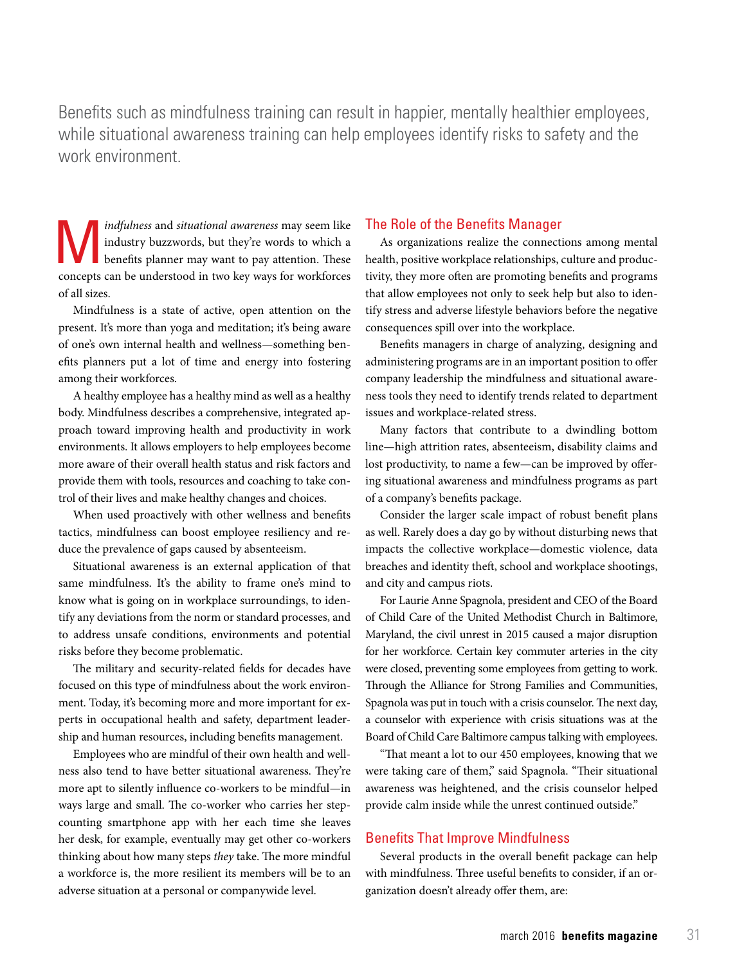Benefits such as mindfulness training can result in happier, mentally healthier employees, while situational awareness training can help employees identify risks to safety and the work environment.

*indfulness* and *situational awareness* may seem like<br>industry buzzwords, but they're words to which a<br>benefits planner may want to pay attention. These industry buzzwords, but they're words to which a benefits planner may want to pay attention. These concepts can be understood in two key ways for workforces of all sizes.

Mindfulness is a state of active, open attention on the present. It's more than yoga and meditation; it's being aware of one's own internal health and wellness—something benefits planners put a lot of time and energy into fostering among their workforces.

A healthy employee has a healthy mind as well as a healthy body. Mindfulness describes a comprehensive, integrated approach toward improving health and productivity in work environments. It allows employers to help employees become more aware of their overall health status and risk factors and provide them with tools, resources and coaching to take control of their lives and make healthy changes and choices.

When used proactively with other wellness and benefits tactics, mindfulness can boost employee resiliency and reduce the prevalence of gaps caused by absenteeism.

Situational awareness is an external application of that same mindfulness. It's the ability to frame one's mind to know what is going on in workplace surroundings, to identify any deviations from the norm or standard processes, and to address unsafe conditions, environments and potential risks before they become problematic.

The military and security-related fields for decades have focused on this type of mindfulness about the work environment. Today, it's becoming more and more important for experts in occupational health and safety, department leadership and human resources, including benefits management.

Employees who are mindful of their own health and wellness also tend to have better situational awareness. They're more apt to silently influence co-workers to be mindful—in ways large and small. The co-worker who carries her stepcounting smartphone app with her each time she leaves her desk, for example, eventually may get other co-workers thinking about how many steps *they* take. The more mindful a workforce is, the more resilient its members will be to an adverse situation at a personal or companywide level.

#### The Role of the Benefits Manager

As organizations realize the connections among mental health, positive workplace relationships, culture and productivity, they more often are promoting benefits and programs that allow employees not only to seek help but also to identify stress and adverse lifestyle behaviors before the negative consequences spill over into the workplace.

Benefits managers in charge of analyzing, designing and administering programs are in an important position to offer company leadership the mindfulness and situational awareness tools they need to identify trends related to department issues and workplace-related stress.

Many factors that contribute to a dwindling bottom line—high attrition rates, absenteeism, disability claims and lost productivity, to name a few—can be improved by offering situational awareness and mindfulness programs as part of a company's benefits package.

Consider the larger scale impact of robust benefit plans as well. Rarely does a day go by without disturbing news that impacts the collective workplace—domestic violence, data breaches and identity theft, school and workplace shootings, and city and campus riots.

For Laurie Anne Spagnola, president and CEO of the Board of Child Care of the United Methodist Church in Baltimore, Maryland, the civil unrest in 2015 caused a major disruption for her workforce. Certain key commuter arteries in the city were closed, preventing some employees from getting to work. Through the Alliance for Strong Families and Communities, Spagnola was put in touch with a crisis counselor. The next day, a counselor with experience with crisis situations was at the Board of Child Care Baltimore campus talking with employees.

"That meant a lot to our 450 employees, knowing that we were taking care of them," said Spagnola. "Their situational awareness was heightened, and the crisis counselor helped provide calm inside while the unrest continued outside."

## Benefits That Improve Mindfulness

Several products in the overall benefit package can help with mindfulness. Three useful benefits to consider, if an organization doesn't already offer them, are: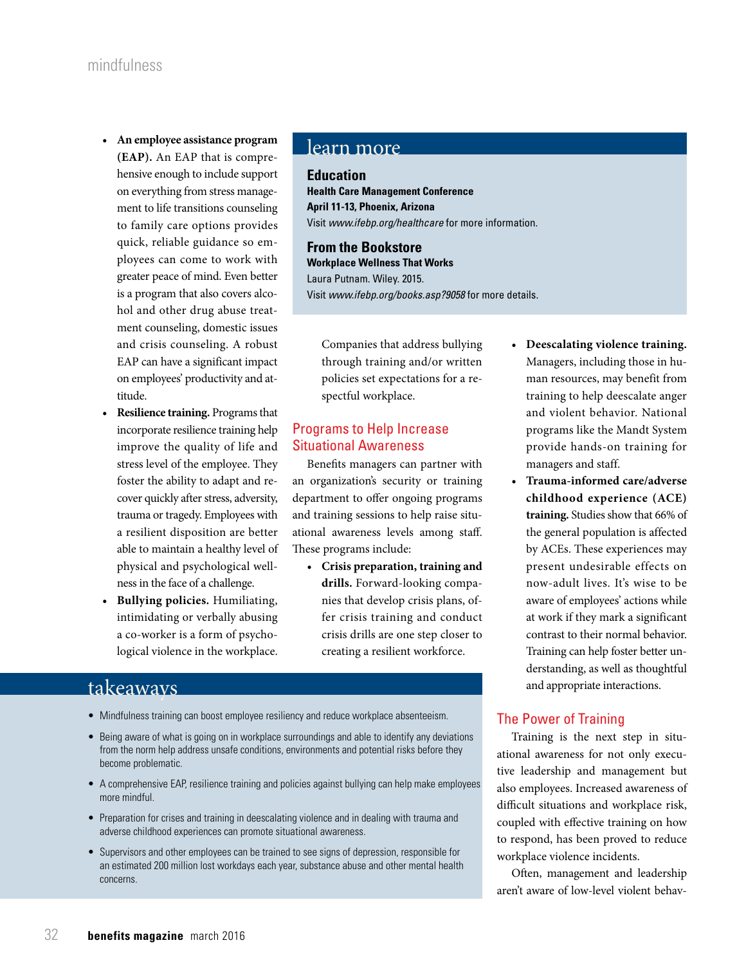- **• An employee assistance program (EAP).** An EAP that is comprehensive enough to include support on everything from stress management to life transitions counseling to family care options provides quick, reliable guidance so employees can come to work with greater peace of mind. Even better is a program that also covers alcohol and other drug abuse treatment counseling, domestic issues and crisis counseling. A robust EAP can have a significant impact on employees' productivity and attitude.
- **• Resilience training.** Programs that incorporate resilience training help improve the quality of life and stress level of the employee. They foster the ability to adapt and recover quickly after stress, adversity, trauma or tragedy. Employees with a resilient disposition are better able to maintain a healthy level of physical and psychological wellness in the face of a challenge.
- **• Bullying policies.** Humiliating, intimidating or verbally abusing a co-worker is a form of psychological violence in the workplace.

# learn more

## **Education**

**Health Care Management Conference April 11-13, Phoenix, Arizona** Visit *www.ifebp.org/healthcare* for more information.

**From the Bookstore Workplace Wellness That Works** Laura Putnam. Wiley. 2015. Visit *www.ifebp.org/books.asp?9058* for more details.

Companies that address bullying through training and/or written policies set expectations for a respectful workplace.

# Programs to Help Increase Situational Awareness

Benefits managers can partner with an organization's security or training department to offer ongoing programs and training sessions to help raise situational awareness levels among staff. These programs include:

**• Crisis preparation, training and drills.** Forward-looking companies that develop crisis plans, offer crisis training and conduct crisis drills are one step closer to creating a resilient workforce.

# takeaways

- Mindfulness training can boost employee resiliency and reduce workplace absenteeism.
- Being aware of what is going on in workplace surroundings and able to identify any deviations from the norm help address unsafe conditions, environments and potential risks before they become problematic.
- A comprehensive EAP, resilience training and policies against bullying can help make employees more mindful.
- Preparation for crises and training in deescalating violence and in dealing with trauma and adverse childhood experiences can promote situational awareness.
- Supervisors and other employees can be trained to see signs of depression, responsible for an estimated 200 million lost workdays each year, substance abuse and other mental health concerns.
- **• Deescalating violence training.** Managers, including those in human resources, may benefit from training to help deescalate anger and violent behavior. National programs like the Mandt System provide hands-on training for managers and staff.
- **• Trauma-informed care/adverse childhood experience (ACE) training.** Studies show that 66% of the general population is affected by ACEs. These experiences may present undesirable effects on now-adult lives. It's wise to be aware of employees' actions while at work if they mark a significant contrast to their normal behavior. Training can help foster better understanding, as well as thoughtful and appropriate interactions.

## The Power of Training

Training is the next step in situational awareness for not only executive leadership and management but also employees. Increased awareness of difficult situations and workplace risk, coupled with effective training on how to respond, has been proved to reduce workplace violence incidents.

Often, management and leadership aren't aware of low-level violent behav-